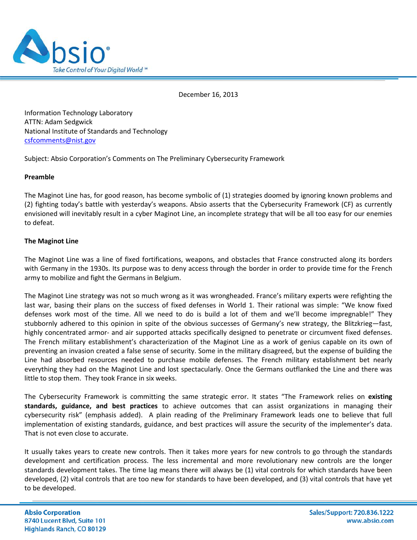

December 16, 2013

Information Technology Laboratory ATTN: Adam Sedgwick National Institute of Standards and Technology [csfcomments@nist.gov](mailto:csfcomments@nist.gov)

Subject: Absio Corporation's Comments on The Preliminary Cybersecurity Framework

### **Preamble**

The Maginot Line has, for good reason, has become symbolic of (1) strategies doomed by ignoring known problems and (2) fighting today's battle with yesterday's weapons. Absio asserts that the Cybersecurity Framework (CF) as currently envisioned will inevitably result in a cyber Maginot Line, an incomplete strategy that will be all too easy for our enemies to defeat.

### **The Maginot Line**

The Maginot Line was a line of fixed fortifications, weapons, and obstacles that France constructed along its borders with Germany in the 1930s. Its purpose was to deny access through the border in order to provide time for the French army to mobilize and fight the Germans in Belgium.

The Maginot Line strategy was not so much wrong as it was wrongheaded. France's military experts were refighting the last war, basing their plans on the success of fixed defenses in World 1. Their rational was simple: "We know fixed defenses work most of the time. All we need to do is build a lot of them and we'll become impregnable!" They stubbornly adhered to this opinion in spite of the obvious successes of Germany's new strategy, the Blitzkrieg—fast, highly concentrated armor- and air supported attacks specifically designed to penetrate or circumvent fixed defenses. The French military establishment's characterization of the Maginot Line as a work of genius capable on its own of preventing an invasion created a false sense of security. Some in the military disagreed, but the expense of building the Line had absorbed resources needed to purchase mobile defenses. The French military establishment bet nearly everything they had on the Maginot Line and lost spectacularly. Once the Germans outflanked the Line and there was little to stop them. They took France in six weeks.

The Cybersecurity Framework is committing the same strategic error. It states "The Framework relies on **existing standards, guidance, and best practices** to achieve outcomes that can assist organizations in managing their cybersecurity risk" (emphasis added). A plain reading of the Preliminary Framework leads one to believe that full implementation of existing standards, guidance, and best practices will assure the security of the implementer's data. That is not even close to accurate.

It usually takes years to create new controls. Then it takes more years for new controls to go through the standards development and certification process. The less incremental and more revolutionary new controls are the longer standards development takes. The time lag means there will always be (1) vital controls for which standards have been developed, (2) vital controls that are too new for standards to have been developed, and (3) vital controls that have yet to be developed.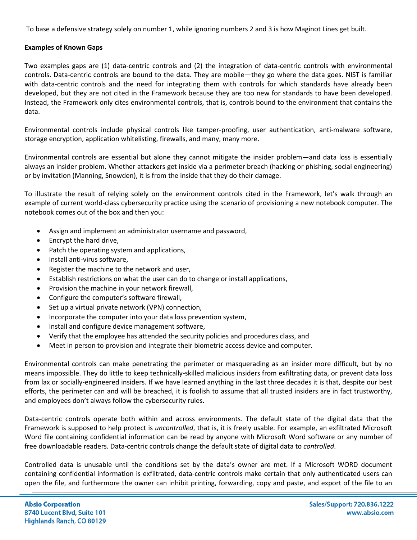To base a defensive strategy solely on number 1, while ignoring numbers 2 and 3 is how Maginot Lines get built.

# **Examples of Known Gaps**

Two examples gaps are (1) data-centric controls and (2) the integration of data-centric controls with environmental controls. Data-centric controls are bound to the data. They are mobile—they go where the data goes. NIST is familiar with data-centric controls and the need for integrating them with controls for which standards have already been developed, but they are not cited in the Framework because they are too new for standards to have been developed. Instead, the Framework only cites environmental controls, that is, controls bound to the environment that contains the data.

Environmental controls include physical controls like tamper-proofing, user authentication, anti-malware software, storage encryption, application whitelisting, firewalls, and many, many more.

Environmental controls are essential but alone they cannot mitigate the insider problem—and data loss is essentially always an insider problem. Whether attackers get inside via a perimeter breach (hacking or phishing, social engineering) or by invitation (Manning, Snowden), it is from the inside that they do their damage.

To illustrate the result of relying solely on the environment controls cited in the Framework, let's walk through an example of current world-class cybersecurity practice using the scenario of provisioning a new notebook computer. The notebook comes out of the box and then you:

- Assign and implement an administrator username and password,
- Encrypt the hard drive,
- Patch the operating system and applications,
- Install anti-virus software,
- Register the machine to the network and user,
- Establish restrictions on what the user can do to change or install applications,
- Provision the machine in your network firewall,
- Configure the computer's software firewall,
- Set up a virtual private network (VPN) connection,
- Incorporate the computer into your data loss prevention system,
- Install and configure device management software,
- Verify that the employee has attended the security policies and procedures class, and
- Meet in person to provision and integrate their biometric access device and computer.

Environmental controls can make penetrating the perimeter or masquerading as an insider more difficult, but by no means impossible. They do little to keep technically-skilled malicious insiders from exfiltrating data, or prevent data loss from lax or socially-engineered insiders. If we have learned anything in the last three decades it is that, despite our best efforts, the perimeter can and will be breached, it is foolish to assume that all trusted insiders are in fact trustworthy, and employees don't always follow the cybersecurity rules.

Data-centric controls operate both within and across environments. The default state of the digital data that the Framework is supposed to help protect is *uncontrolled*, that is, it is freely usable. For example, an exfiltrated Microsoft Word file containing confidential information can be read by anyone with Microsoft Word software or any number of free downloadable readers. Data-centric controls change the default state of digital data to *controlled*.

Controlled data is unusable until the conditions set by the data's owner are met. If a Microsoft WORD document containing confidential information is exfiltrated, data-centric controls make certain that only authenticated users can open the file, and furthermore the owner can inhibit printing, forwarding, copy and paste, and export of the file to an